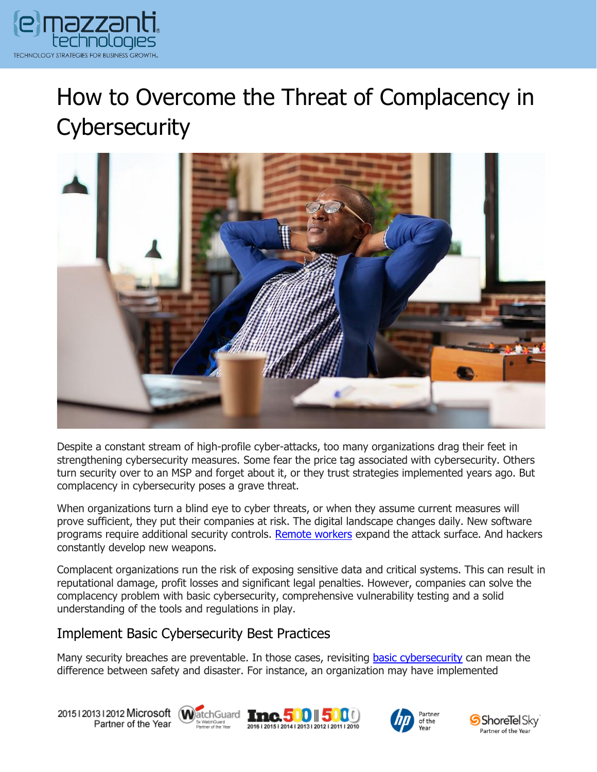

# How to Overcome the Threat of Complacency in **Cybersecurity**



Despite a constant stream of high-profile cyber-attacks, too many organizations drag their feet in strengthening cybersecurity measures. Some fear the price tag associated with cybersecurity. Others turn security over to an MSP and forget about it, or they trust strategies implemented years ago. But complacency in cybersecurity poses a grave threat.

When organizations turn a blind eye to cyber threats, or when they assume current measures will prove sufficient, they put their companies at risk. The digital landscape changes daily. New software programs require additional security controls. [Remote workers](https://www.emazzanti.net/endpoint-security-best-practices/) expand the attack surface. And hackers constantly develop new weapons.

Complacent organizations run the risk of exposing sensitive data and critical systems. This can result in reputational damage, profit losses and significant legal penalties. However, companies can solve the complacency problem with basic cybersecurity, comprehensive vulnerability testing and a solid understanding of the tools and regulations in play.

### Implement Basic Cybersecurity Best Practices

Many security breaches are preventable. In those cases, revisiting [basic cybersecurity](https://www.emazzanti.net/2022-cybersecurity-best-practices/) can mean the difference between safety and disaster. For instance, an organization may have implemented

20151201312012 Microsoft WatchGuard Tmc. 500 500 Partner of the Year







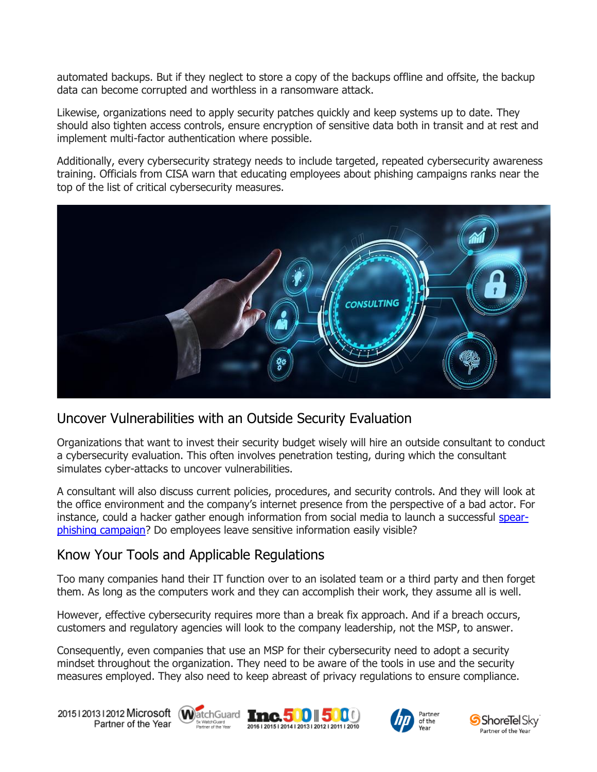automated backups. But if they neglect to store a copy of the backups offline and offsite, the backup data can become corrupted and worthless in a ransomware attack.

Likewise, organizations need to apply security patches quickly and keep systems up to date. They should also tighten access controls, ensure encryption of sensitive data both in transit and at rest and implement multi-factor authentication where possible.

Additionally, every cybersecurity strategy needs to include targeted, repeated cybersecurity awareness training. Officials from CISA warn that educating employees about phishing campaigns ranks near the top of the list of critical cybersecurity measures.



## Uncover Vulnerabilities with an Outside Security Evaluation

Organizations that want to invest their security budget wisely will hire an outside consultant to conduct a cybersecurity evaluation. This often involves penetration testing, during which the consultant simulates cyber-attacks to uncover vulnerabilities.

A consultant will also discuss current policies, procedures, and security controls. And they will look at the office environment and the company's internet presence from the perspective of a bad actor. For instance, could a hacker gather enough information from social media to launch a successful [spear](https://www.emazzanti.net/spear-phishing-attacks/)[phishing campaign?](https://www.emazzanti.net/spear-phishing-attacks/) Do employees leave sensitive information easily visible?

## Know Your Tools and Applicable Regulations

Too many companies hand their IT function over to an isolated team or a third party and then forget them. As long as the computers work and they can accomplish their work, they assume all is well.

However, effective cybersecurity requires more than a break fix approach. And if a breach occurs, customers and regulatory agencies will look to the company leadership, not the MSP, to answer.

Consequently, even companies that use an MSP for their cybersecurity need to adopt a security mindset throughout the organization. They need to be aware of the tools in use and the security measures employed. They also need to keep abreast of privacy regulations to ensure compliance.

20151201312012 Microsoft WatchGuard Tnc. 500 500 Partner of the Year